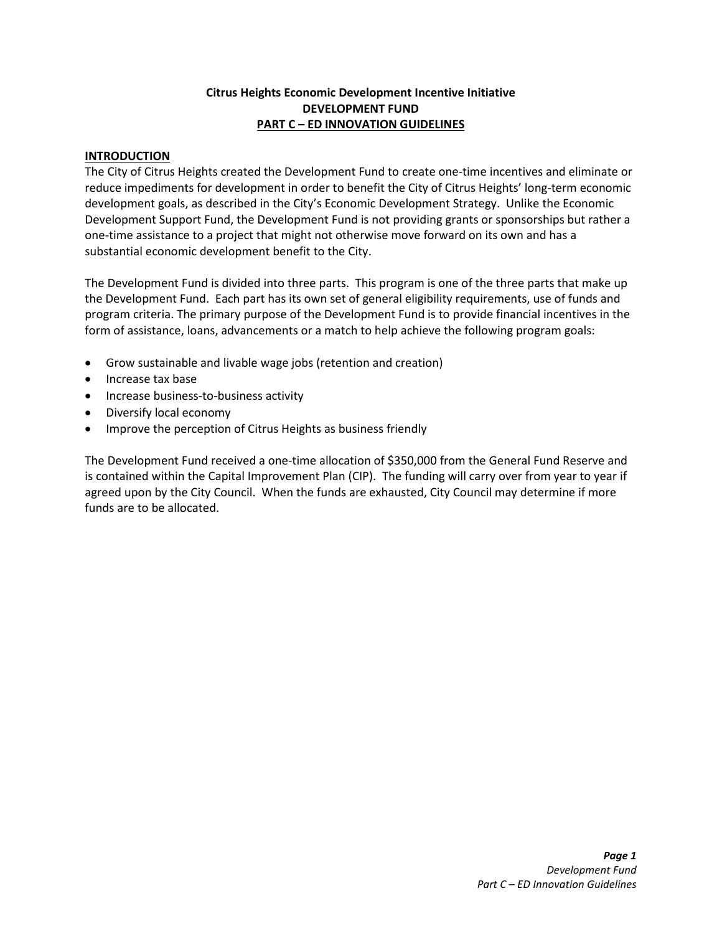# **Citrus Heights Economic Development Incentive Initiative DEVELOPMENT FUND PART C – ED INNOVATION GUIDELINES**

# **INTRODUCTION**

The City of Citrus Heights created the Development Fund to create one-time incentives and eliminate or reduce impediments for development in order to benefit the City of Citrus Heights' long-term economic development goals, as described in the City's Economic Development Strategy. Unlike the Economic Development Support Fund, the Development Fund is not providing grants or sponsorships but rather a one-time assistance to a project that might not otherwise move forward on its own and has a substantial economic development benefit to the City.

The Development Fund is divided into three parts. This program is one of the three parts that make up the Development Fund. Each part has its own set of general eligibility requirements, use of funds and program criteria. The primary purpose of the Development Fund is to provide financial incentives in the form of assistance, loans, advancements or a match to help achieve the following program goals:

- Grow sustainable and livable wage jobs (retention and creation)
- Increase tax base
- Increase business-to-business activity
- Diversify local economy
- Improve the perception of Citrus Heights as business friendly

The Development Fund received a one-time allocation of \$350,000 from the General Fund Reserve and is contained within the Capital Improvement Plan (CIP). The funding will carry over from year to year if agreed upon by the City Council. When the funds are exhausted, City Council may determine if more funds are to be allocated.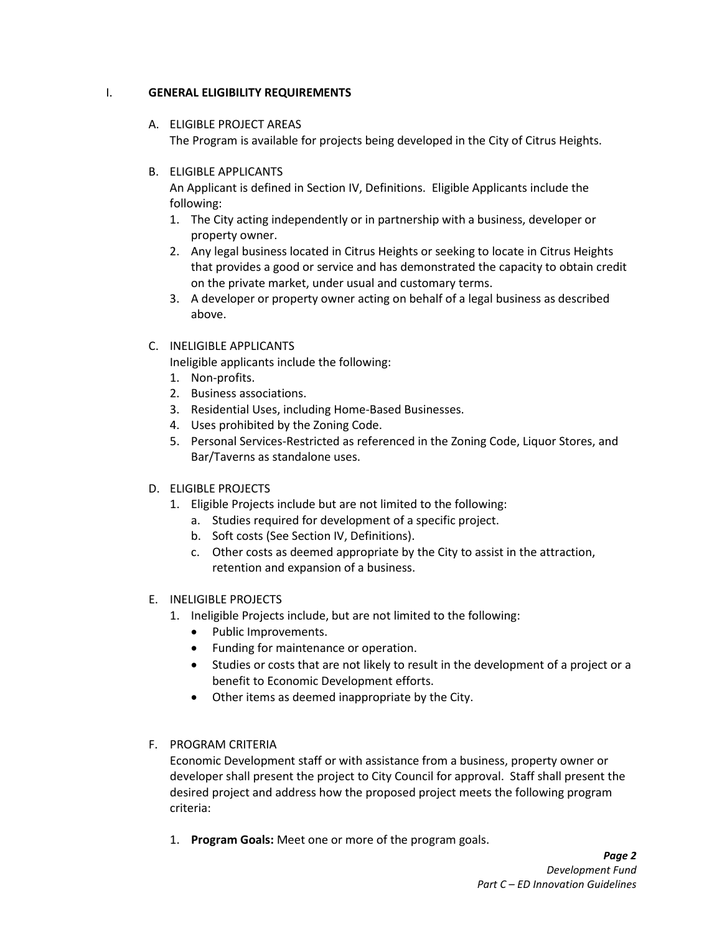# I. **GENERAL ELIGIBILITY REQUIREMENTS**

- A. ELIGIBLE PROJECT AREAS The Program is available for projects being developed in the City of Citrus Heights.
- B. ELIGIBLE APPLICANTS

An Applicant is defined in Section IV, Definitions. Eligible Applicants include the following:

- 1. The City acting independently or in partnership with a business, developer or property owner.
- 2. Any legal business located in Citrus Heights or seeking to locate in Citrus Heights that provides a good or service and has demonstrated the capacity to obtain credit on the private market, under usual and customary terms.
- 3. A developer or property owner acting on behalf of a legal business as described above.
- C. INELIGIBLE APPLICANTS

Ineligible applicants include the following:

- 1. Non-profits.
- 2. Business associations.
- 3. Residential Uses, including Home-Based Businesses.
- 4. Uses prohibited by the Zoning Code.
- 5. Personal Services-Restricted as referenced in the Zoning Code, Liquor Stores, and Bar/Taverns as standalone uses.
- D. ELIGIBLE PROJECTS
	- 1. Eligible Projects include but are not limited to the following:
		- a. Studies required for development of a specific project.
		- b. Soft costs (See Section IV, Definitions).
		- c. Other costs as deemed appropriate by the City to assist in the attraction, retention and expansion of a business.
- E. INELIGIBLE PROJECTS
	- 1. Ineligible Projects include, but are not limited to the following:
		- Public Improvements.
		- Funding for maintenance or operation.
		- Studies or costs that are not likely to result in the development of a project or a benefit to Economic Development efforts.
		- Other items as deemed inappropriate by the City.
- F. PROGRAM CRITERIA

Economic Development staff or with assistance from a business, property owner or developer shall present the project to City Council for approval. Staff shall present the desired project and address how the proposed project meets the following program criteria:

1. **Program Goals:** Meet one or more of the program goals.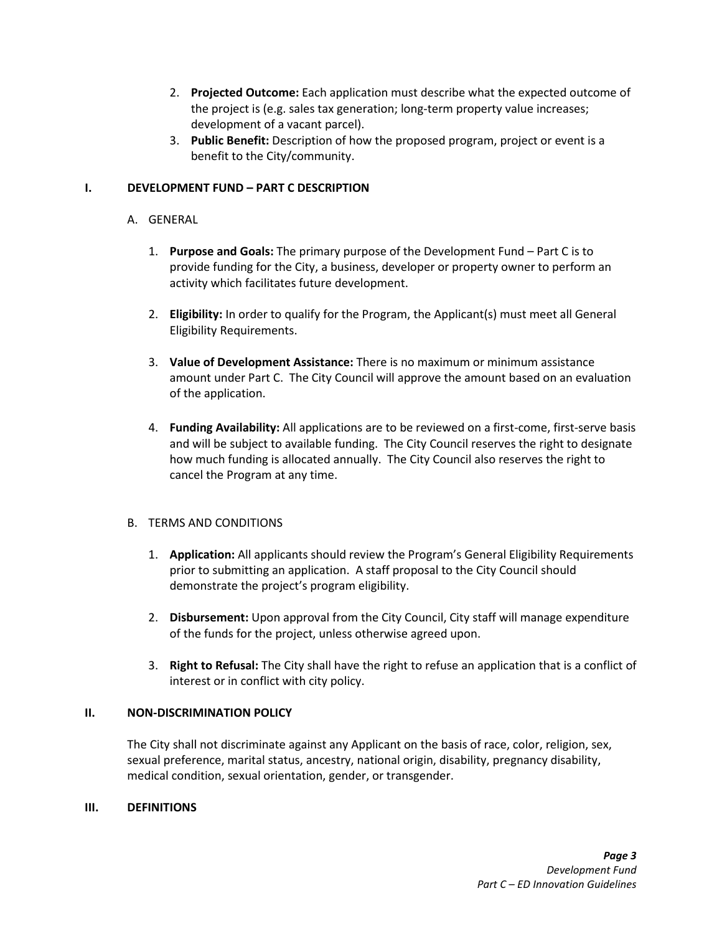- 2. **Projected Outcome:** Each application must describe what the expected outcome of the project is (e.g. sales tax generation; long-term property value increases; development of a vacant parcel).
- 3. **Public Benefit:** Description of how the proposed program, project or event is a benefit to the City/community.

# **I. DEVELOPMENT FUND – PART C DESCRIPTION**

## A. GENERAL

- 1. **Purpose and Goals:** The primary purpose of the Development Fund Part C is to provide funding for the City, a business, developer or property owner to perform an activity which facilitates future development.
- 2. **Eligibility:** In order to qualify for the Program, the Applicant(s) must meet all General Eligibility Requirements.
- 3. **Value of Development Assistance:** There is no maximum or minimum assistance amount under Part C. The City Council will approve the amount based on an evaluation of the application.
- 4. **Funding Availability:** All applications are to be reviewed on a first-come, first-serve basis and will be subject to available funding. The City Council reserves the right to designate how much funding is allocated annually. The City Council also reserves the right to cancel the Program at any time.

## B. TERMS AND CONDITIONS

- 1. **Application:** All applicants should review the Program's General Eligibility Requirements prior to submitting an application. A staff proposal to the City Council should demonstrate the project's program eligibility.
- 2. **Disbursement:** Upon approval from the City Council, City staff will manage expenditure of the funds for the project, unless otherwise agreed upon.
- 3. **Right to Refusal:** The City shall have the right to refuse an application that is a conflict of interest or in conflict with city policy.

## **II. NON-DISCRIMINATION POLICY**

The City shall not discriminate against any Applicant on the basis of race, color, religion, sex, sexual preference, marital status, ancestry, national origin, disability, pregnancy disability, medical condition, sexual orientation, gender, or transgender.

## **III. DEFINITIONS**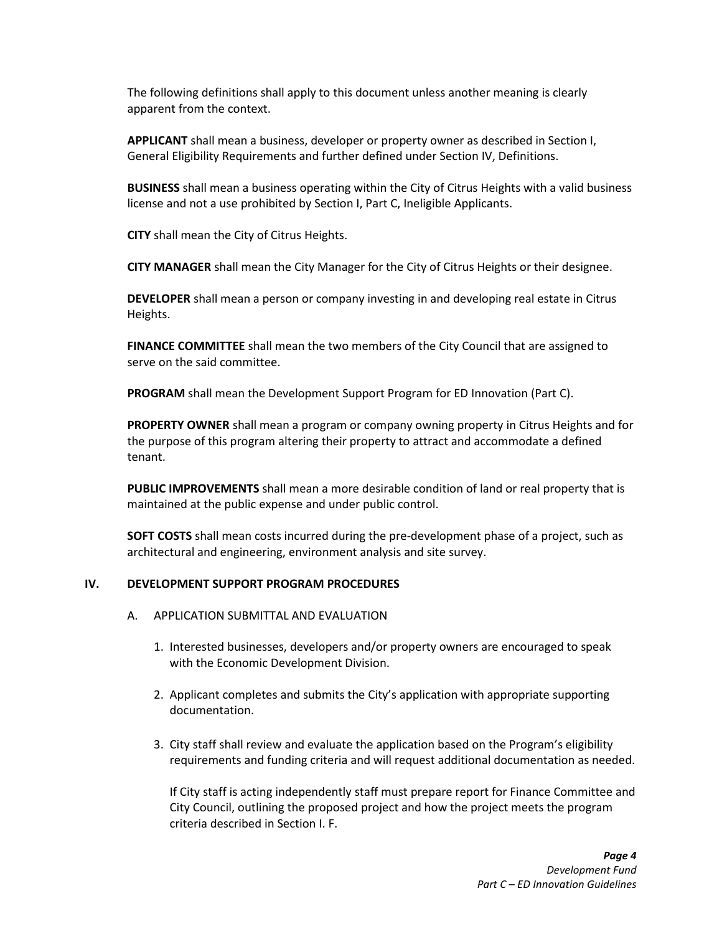The following definitions shall apply to this document unless another meaning is clearly apparent from the context.

**APPLICANT** shall mean a business, developer or property owner as described in Section I, General Eligibility Requirements and further defined under Section IV, Definitions.

**BUSINESS** shall mean a business operating within the City of Citrus Heights with a valid business license and not a use prohibited by Section I, Part C, Ineligible Applicants.

**CITY** shall mean the City of Citrus Heights.

**CITY MANAGER** shall mean the City Manager for the City of Citrus Heights or their designee.

**DEVELOPER** shall mean a person or company investing in and developing real estate in Citrus Heights.

**FINANCE COMMITTEE** shall mean the two members of the City Council that are assigned to serve on the said committee.

**PROGRAM** shall mean the Development Support Program for ED Innovation (Part C).

**PROPERTY OWNER** shall mean a program or company owning property in Citrus Heights and for the purpose of this program altering their property to attract and accommodate a defined tenant.

**PUBLIC IMPROVEMENTS** shall mean a more desirable condition of land or real property that is maintained at the public expense and under public control.

**SOFT COSTS** shall mean costs incurred during the pre-development phase of a project, such as architectural and engineering, environment analysis and site survey.

#### **IV. DEVELOPMENT SUPPORT PROGRAM PROCEDURES**

- A. APPLICATION SUBMITTAL AND EVALUATION
	- 1. Interested businesses, developers and/or property owners are encouraged to speak with the Economic Development Division.
	- 2. Applicant completes and submits the City's application with appropriate supporting documentation.
	- 3. City staff shall review and evaluate the application based on the Program's eligibility requirements and funding criteria and will request additional documentation as needed.

If City staff is acting independently staff must prepare report for Finance Committee and City Council, outlining the proposed project and how the project meets the program criteria described in Section I. F.